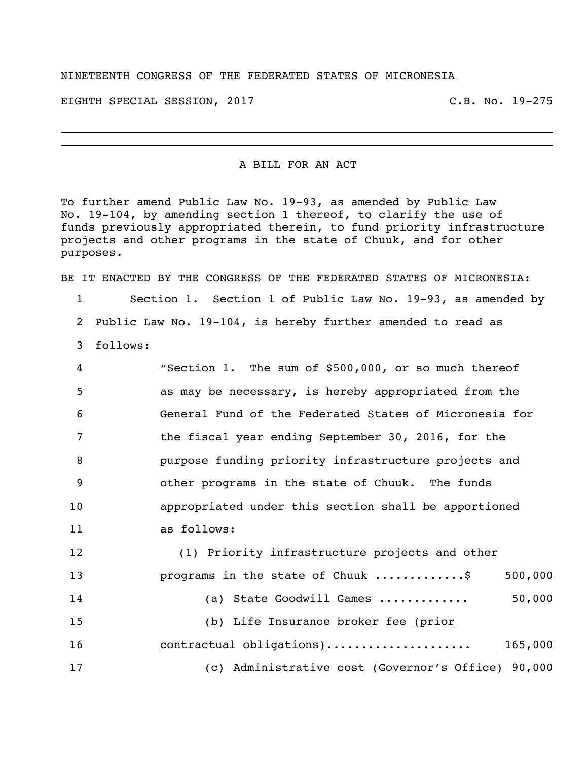## NINETEENTH CONGRESS OF THE FEDERATED STATES OF MICRONESIA

EIGHTH SPECIAL SESSION, 2017 C.B. No. 19-275

A BILL FOR AN ACT

To further amend Public Law No. 19-93, as amended by Public Law No. 19-104, by amending section 1 thereof, to clarify the use of funds previously appropriated therein, to fund priority infrastructure projects and other programs in the state of Chuuk, and for other purposes.

BE IT ENACTED BY THE CONGRESS OF THE FEDERATED STATES OF MICRONESIA: Section 1. Section 1 of Public Law No. 19-93, as amended by Public Law No. 19-104, is hereby further amended to read as follows:

| $\overline{4}$ | "Section 1. The sum of \$500,000, or so much thereof   |
|----------------|--------------------------------------------------------|
| -5             | as may be necessary, is hereby appropriated from the   |
| 6              | General Fund of the Federated States of Micronesia for |
| 7              | the fiscal year ending September 30, 2016, for the     |
| -8             | purpose funding priority infrastructure projects and   |
| - 9            | other programs in the state of Chuuk. The funds        |
| 10             | appropriated under this section shall be apportioned   |
| 11             | as follows:                                            |

 (1) Priority infrastructure projects and other 13 programs in the state of Chuuk ..............\$ 500,000 (a) State Goodwill Games ............. 50,000 (b) Life Insurance broker fee (prior contractual obligations)..................... 165,000 (c) Administrative cost (Governor's Office) 90,000